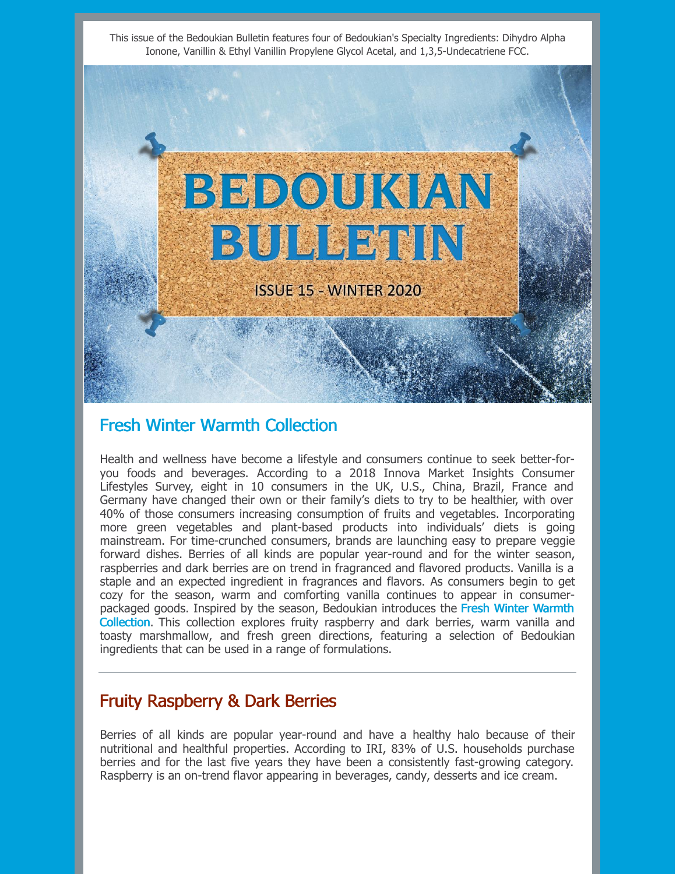This issue of the Bedoukian Bulletin features four of Bedoukian's Specialty Ingredients: Dihydro Alpha Ionone, Vanillin & Ethyl Vanillin Propylene Glycol Acetal, and 1,3,5-Undecatriene FCC.



### Fresh Winter Warmth Collection

Health and wellness have become a lifestyle and consumers continue to seek better-foryou foods and beverages. According to a 2018 Innova Market Insights Consumer Lifestyles Survey, eight in 10 consumers in the UK, U.S., China, Brazil, France and Germany have changed their own or their family's diets to try to be healthier, with over 40% of those consumers increasing consumption of fruits and vegetables. Incorporating more green vegetables and plant-based products into individuals' diets is going mainstream. For time-crunched consumers, brands are launching easy to prepare veggie forward dishes. Berries of all kinds are popular year-round and for the winter season, raspberries and dark berries are on trend in fragranced and flavored products. Vanilla is a staple and an expected ingredient in fragrances and flavors. As consumers begin to get cozy for the season, warm and comforting vanilla continues to appear in consumerpackaged goods. Inspired by the season, Bedoukian introduces the Fresh Winter Warmth Collection. This collection explores fruity raspberry and dark berries, warm vanilla and toasty marshmallow, and fresh green directions, featuring a selection of Bedoukian ingredients that can be used in a range of formulations.

# Fruity Raspberry & Dark Berries

Berries of all kinds are popular year-round and have a healthy halo because of their nutritional and healthful properties. According to IRI, 83% of U.S. households purchase berries and for the last five years they have been a consistently fast-growing category. Raspberry is an on-trend flavor appearing in beverages, candy, desserts and ice cream.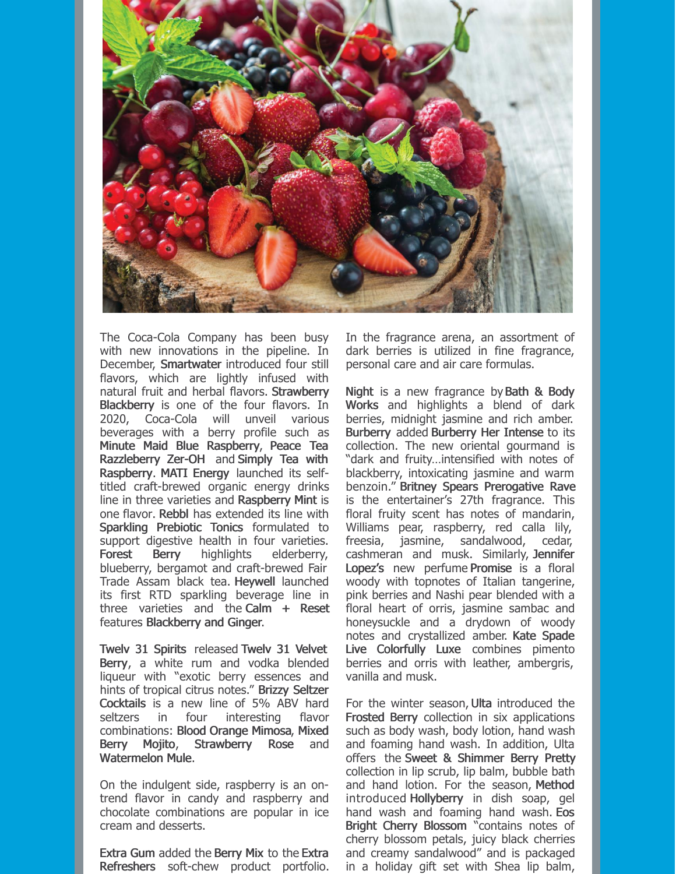

The Coca-Cola Company has been busy with new innovations in the pipeline. In December, Smartwater introduced four still flavors, which are lightly infused with natural fruit and herbal flavors. Strawberry Blackberry is one of the four flavors. In 2020, Coca-Cola will unveil various beverages with a berry profile such as Minute Maid Blue Raspberry, Peace Tea Razzleberry Zer-OH and Simply Tea with Raspberry. MATI Energy launched its selftitled craft-brewed organic energy drinks line in three varieties and Raspberry Mint is one flavor. Rebbl has extended its line with Sparkling Prebiotic Tonics formulated to support digestive health in four varieties. Forest Berry highlights elderberry, blueberry, bergamot and craft-brewed Fair Trade Assam black tea. Heywell launched its first RTD sparkling beverage line in three varieties and the Calm  $+$  Reset features Blackberry and Ginger.

Twelv 31 Spirits released Twelv 31 Velvet Berry, a white rum and vodka blended liqueur with "exotic berry essences and hints of tropical citrus notes." Brizzy Seltzer Cocktails is a new line of 5% ABV hard seltzers in four interesting flavor combinations: Blood Orange Mimosa, Mixed Berry Mojito, Strawberry Rose and Watermelon Mule.

On the indulgent side, raspberry is an ontrend flavor in candy and raspberry and chocolate combinations are popular in ice cream and desserts.

Extra Gum added the Berry Mix to the Extra Refreshers soft-chew product portfolio. In the fragrance arena, an assortment of dark berries is utilized in fine fragrance, personal care and air care formulas.

Night is a new fragrance by Bath & Body Works and highlights a blend of dark berries, midnight jasmine and rich amber. Burberry added Burberry Her Intense to its collection. The new oriental gourmand is "dark and fruity…intensified with notes of blackberry, intoxicating jasmine and warm benzoin." Britney Spears Prerogative Rave is the entertainer's 27th fragrance. This floral fruity scent has notes of mandarin, Williams pear, raspberry, red calla lily, freesia, jasmine, sandalwood, cedar, cashmeran and musk. Similarly, Jennifer Lopez's new perfume Promise is a floral woody with topnotes of Italian tangerine, pink berries and Nashi pear blended with a floral heart of orris, jasmine sambac and honeysuckle and a drydown of woody notes and crystallized amber. Kate Spade Live Colorfully Luxe combines pimento berries and orris with leather, ambergris, vanilla and musk.

For the winter season, Ulta introduced the Frosted Berry collection in six applications such as body wash, body lotion, hand wash and foaming hand wash. In addition, Ulta offers the Sweet & Shimmer Berry Pretty collection in lip scrub, lip balm, bubble bath and hand lotion. For the season, Method introduced Hollyberry in dish soap, gel hand wash and foaming hand wash. Eos Bright Cherry Blossom "contains notes of cherry blossom petals, juicy black cherries and creamy sandalwood" and is packaged in a holiday gift set with Shea lip balm,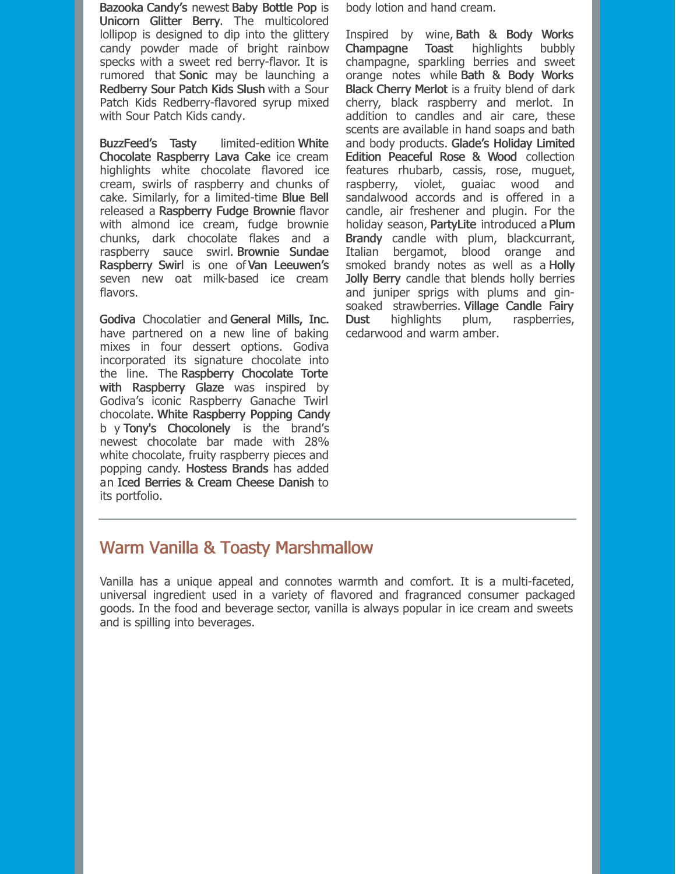Bazooka Candy's newest Baby Bottle Pop is Unicorn Glitter Berry. The multicolored lollipop is designed to dip into the glittery candy powder made of bright rainbow specks with a sweet red berry-flavor. It is rumored that Sonic may be launching a Redberry Sour Patch Kids Slush with a Sour Patch Kids Redberry-flavored syrup mixed with Sour Patch Kids candy.

BuzzFeed's Tasty limited-edition White Chocolate Raspberry Lava Cake ice cream highlights white chocolate flavored ice cream, swirls of raspberry and chunks of cake. Similarly, for a limited-time Blue Bell released a Raspberry Fudge Brownie flavor with almond ice cream, fudge brownie chunks, dark chocolate flakes and a raspberry sauce swirl. Brownie Sundae Raspberry Swirl is one of Van Leeuwen's seven new oat milk-based ice cream flavors.

Godiva Chocolatier and General Mills, Inc. have partnered on a new line of baking mixes in four dessert options. Godiva incorporated its signature chocolate into the line. The Raspberry Chocolate Torte with Raspberry Glaze was inspired by Godiva's iconic Raspberry Ganache Twirl chocolate. White Raspberry Popping Candy b y Tony's Chocolonely is the brand's newest chocolate bar made with 28% white chocolate, fruity raspberry pieces and popping candy. Hostess Brands has added an Iced Berries & Cream Cheese Danish to its portfolio.

body lotion and hand cream.

Inspired by wine, Bath & Body Works Champagne Toast highlights bubbly champagne, sparkling berries and sweet orange notes while Bath & Body Works Black Cherry Merlot is a fruity blend of dark cherry, black raspberry and merlot. In addition to candles and air care, these scents are available in hand soaps and bath and body products. Glade's Holiday Limited Edition Peaceful Rose & Wood collection features rhubarb, cassis, rose, muguet, raspberry, violet, guaiac wood and sandalwood accords and is offered in a candle, air freshener and plugin. For the holiday season, PartyLite introduced a Plum Brandy candle with plum, blackcurrant, Italian bergamot, blood orange and smoked brandy notes as well as a **Holly** Jolly Berry candle that blends holly berries and juniper sprigs with plums and ginsoaked strawberries. Village Candle Fairy Dust highlights plum, raspberries, cedarwood and warm amber.

# Warm Vanilla & Toasty Marshmallow

Vanilla has a unique appeal and connotes warmth and comfort. It is a multi-faceted, universal ingredient used in a variety of flavored and fragranced consumer packaged goods. In the food and beverage sector, vanilla is always popular in ice cream and sweets and is spilling into beverages.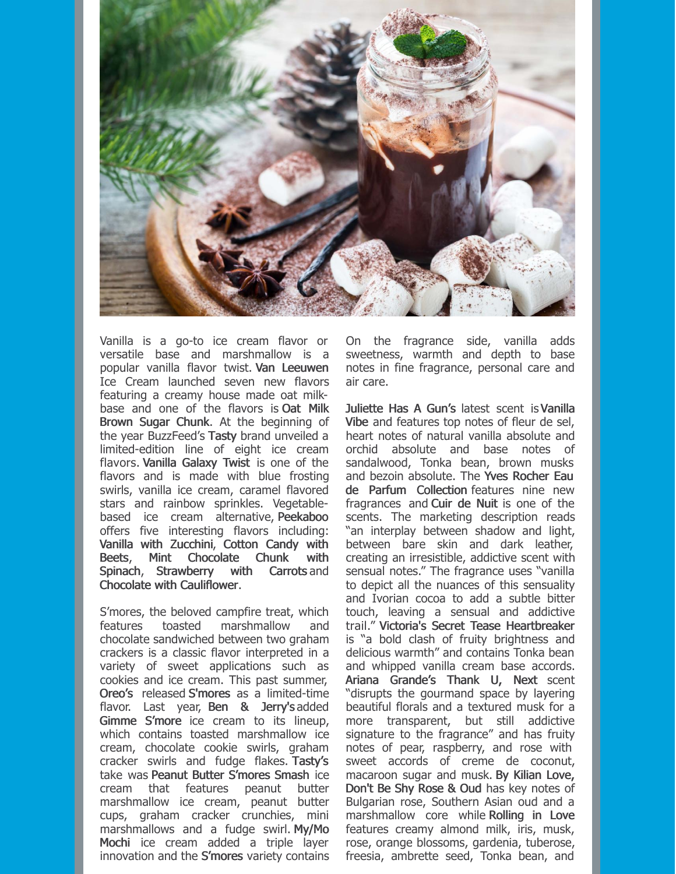

Vanilla is a go-to ice cream flavor or versatile base and marshmallow is a popular vanilla flavor twist. Van Leeuwen Ice Cream launched seven new flavors featuring a creamy house made oat milkbase and one of the flavors is Oat Milk Brown Sugar Chunk. At the beginning of the year BuzzFeed's Tasty brand unveiled a limited-edition line of eight ice cream flavors. Vanilla Galaxy Twist is one of the flavors and is made with blue frosting swirls, vanilla ice cream, caramel flavored stars and rainbow sprinkles. Vegetablebased ice cream alternative, Peekaboo offers five interesting flavors including: Vanilla with Zucchini, Cotton Candy with Beets, Mint Chocolate Chunk with Spinach, Strawberry with Carrots and Chocolate with Cauliflower.

S'mores, the beloved campfire treat, which features toasted marshmallow and chocolate sandwiched between two graham crackers is a classic flavor interpreted in a variety of sweet applications such as cookies and ice cream. This past summer, Oreo's released S'mores as a limited-time flavor. Last year, Ben & Jerry's added Gimme S'more ice cream to its lineup, which contains toasted marshmallow ice cream, chocolate cookie swirls, graham cracker swirls and fudge flakes. Tasty's take was Peanut Butter S'mores Smash ice cream that features peanut butter marshmallow ice cream, peanut butter cups, graham cracker crunchies, mini marshmallows and a fudge swirl. My/Mo Mochi ice cream added a triple layer innovation and the S'mores variety contains On the fragrance side, vanilla adds sweetness, warmth and depth to base notes in fine fragrance, personal care and air care.

Juliette Has A Gun's latest scent isVanilla Vibe and features top notes of fleur de sel, heart notes of natural vanilla absolute and orchid absolute and base notes of sandalwood, Tonka bean, brown musks and bezoin absolute. The Yves Rocher Eau de Parfum Collection features nine new fragrances and Cuir de Nuit is one of the scents. The marketing description reads "an interplay between shadow and light, between bare skin and dark leather, creating an irresistible, addictive scent with sensual notes." The fragrance uses "vanilla to depict all the nuances of this sensuality and Ivorian cocoa to add a subtle bitter touch, leaving a sensual and addictive trail." Victoria's Secret Tease Heartbreaker is "a bold clash of fruity brightness and delicious warmth" and contains Tonka bean and whipped vanilla cream base accords. Ariana Grande's Thank U, Next scent "disrupts the gourmand space by layering beautiful florals and a textured musk for a more transparent, but still addictive signature to the fragrance" and has fruity notes of pear, raspberry, and rose with sweet accords of creme de coconut, macaroon sugar and musk. By Kilian Love, Don't Be Shy Rose & Oud has key notes of Bulgarian rose, Southern Asian oud and a marshmallow core while Rolling in Love features creamy almond milk, iris, musk, rose, orange blossoms, gardenia, tuberose, freesia, ambrette seed, Tonka bean, and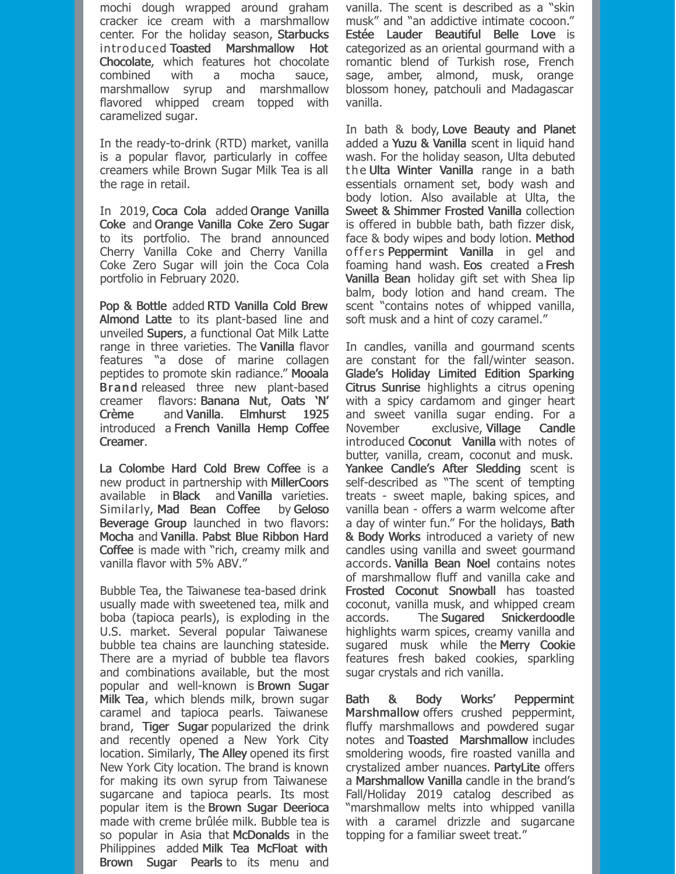mochi dough wrapped around graham cracker ice cream with a marshmallow center. For the holiday season, Starbucks introduced Toasted Marshmallow Hot Chocolate, which features hot chocolate combined with a mocha sauce, marshmallow syrup and marshmallow flavored whipped cream topped with caramelized sugar.

In the ready-to-drink (RTD) market, vanilla is a popular flavor, particularly in coffee creamers while Brown Sugar Milk Tea is all the rage in retail.

In 2019, Coca Cola added Orange Vanilla Coke and Orange Vanilla Coke Zero Sugar to its portfolio. The brand announced Cherry Vanilla Coke and Cherry Vanilla Coke Zero Sugar will join the Coca Cola portfolio in February 2020.

Pop & Bottle added RTD Vanilla Cold Brew Almond Latte to its plant-based line and unveiled Supers, a functional Oat Milk Latte range in three varieties. The Vanilla flavor features "a dose of marine collagen peptides to promote skin radiance." Mooala Brand released three new plant-based creamer flavors: Banana Nut, Oats 'N' Crème and Vanilla. Elmhurst 1925 introduced a French Vanilla Hemp Coffee Creamer.

La Colombe Hard Cold Brew Coffee is a new product in partnership with MillerCoors available in Black and Vanilla varieties. Similarly, Mad Bean Coffee by Geloso Beverage Group launched in two flavors: Mocha and Vanilla. Pabst Blue Ribbon Hard Coffee is made with "rich, creamy milk and vanilla flavor with 5% ABV."

Bubble Tea, the Taiwanese tea-based drink usually made with sweetened tea, milk and boba (tapioca pearls), is exploding in the U.S. market. Several popular Taiwanese bubble tea chains are launching stateside. There are a myriad of bubble tea flavors and combinations available, but the most popular and well-known is Brown Sugar Milk Tea, which blends milk, brown sugar caramel and tapioca pearls. Taiwanese brand, Tiger Sugar popularized the drink and recently opened a New York City location. Similarly, The Alley opened its first New York City location. The brand is known for making its own syrup from Taiwanese sugarcane and tapioca pearls. Its most popular item is the Brown Sugar Deerioca made with creme brûlée milk. Bubble tea is so popular in Asia that McDonalds in the Philippines added Milk Tea McFloat with Brown Sugar Pearls to its menu and

vanilla. The scent is described as a "skin musk" and "an addictive intimate cocoon." Estée Lauder Beautiful Belle Love is categorized as an oriental gourmand with a romantic blend of Turkish rose, French sage, amber, almond, musk, orange blossom honey, patchouli and Madagascar vanilla.

In bath & body, Love Beauty and Planet added a Yuzu & Vanilla scent in liquid hand wash. For the holiday season, Ulta debuted the Ulta Winter Vanilla range in a bath essentials ornament set, body wash and body lotion. Also available at Ulta, the Sweet & Shimmer Frosted Vanilla collection is offered in bubble bath, bath fizzer disk, face & body wipes and body lotion. Method offers Peppermint Vanilla in gel and foaming hand wash. Eos created a Fresh Vanilla Bean holiday gift set with Shea lip balm, body lotion and hand cream. The scent "contains notes of whipped vanilla, soft musk and a hint of cozy caramel."

In candles, vanilla and gourmand scents are constant for the fall/winter season. Glade's Holiday Limited Edition Sparking Citrus Sunrise highlights a citrus opening with a spicy cardamom and ginger heart and sweet vanilla sugar ending. For a November exclusive, Village Candle introduced Coconut Vanilla with notes of butter, vanilla, cream, coconut and musk. Yankee Candle's After Sledding scent is self-described as "The scent of tempting treats - sweet maple, baking spices, and vanilla bean - offers a warm welcome after a day of winter fun." For the holidays, Bath & Body Works introduced a variety of new candles using vanilla and sweet gourmand accords. Vanilla Bean Noel contains notes of marshmallow fluff and vanilla cake and Frosted Coconut Snowball has toasted coconut, vanilla musk, and whipped cream accords. The Sugared Snickerdoodle highlights warm spices, creamy vanilla and sugared musk while the Merry Cookie features fresh baked cookies, sparkling sugar crystals and rich vanilla.

Bath & Body Works' Peppermint Marshmallow offers crushed peppermint, fluffy marshmallows and powdered sugar notes and Toasted Marshmallow includes smoldering woods, fire roasted vanilla and crystalized amber nuances. PartyLite offers a Marshmallow Vanilla candle in the brand's Fall/Holiday 2019 catalog described as "marshmallow melts into whipped vanilla with a caramel drizzle and sugarcane topping for a familiar sweet treat."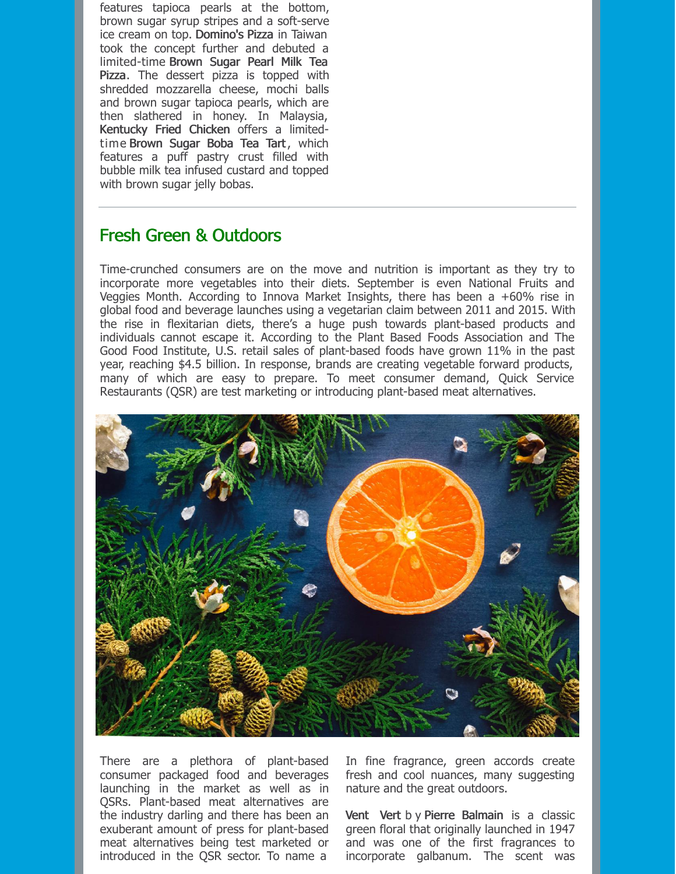features tapioca pearls at the bottom, brown sugar syrup stripes and a soft-serve ice cream on top. Domino's Pizza in Taiwan took the concept further and debuted a limited-time Brown Sugar Pearl Milk Tea Pizza. The dessert pizza is topped with shredded mozzarella cheese, mochi balls and brown sugar tapioca pearls, which are then slathered in honey. In Malaysia, Kentucky Fried Chicken offers a limitedtime Brown Sugar Boba Tea Tart, which features a puff pastry crust filled with bubble milk tea infused custard and topped with brown sugar jelly bobas.

### Fresh Green & Outdoors

Time-crunched consumers are on the move and nutrition is important as they try to incorporate more vegetables into their diets. September is even National Fruits and Veggies Month. According to Innova Market Insights, there has been a +60% rise in global food and beverage launches using a vegetarian claim between 2011 and 2015. With the rise in flexitarian diets, there's a huge push towards plant-based products and individuals cannot escape it. According to the Plant Based Foods Association and The Good Food Institute, U.S. retail sales of plant-based foods have grown 11% in the past year, reaching \$4.5 billion. In response, brands are creating vegetable forward products, many of which are easy to prepare. To meet consumer demand, Quick Service Restaurants (QSR) are test marketing or introducing plant-based meat alternatives.



There are a plethora of plant-based consumer packaged food and beverages launching in the market as well as in QSRs. Plant-based meat alternatives are the industry darling and there has been an exuberant amount of press for plant-based meat alternatives being test marketed or introduced in the QSR sector. To name a

In fine fragrance, green accords create fresh and cool nuances, many suggesting nature and the great outdoors.

Vent Vert b y Pierre Balmain is a classic green floral that originally launched in 1947 and was one of the first fragrances to incorporate galbanum. The scent was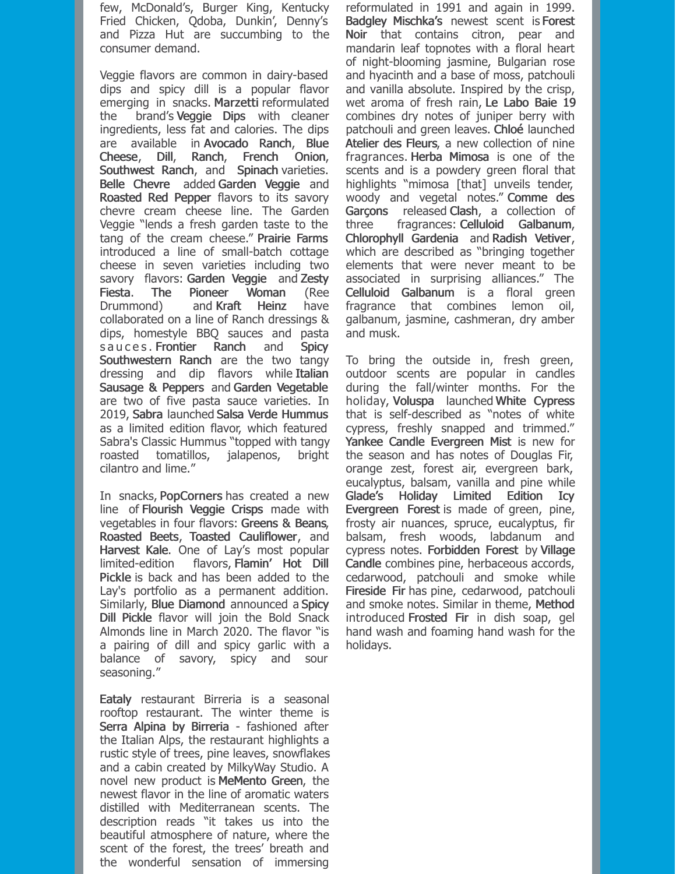few, McDonald's, Burger King, Kentucky Fried Chicken, Qdoba, Dunkin', Denny's and Pizza Hut are succumbing to the consumer demand.

Veggie flavors are common in dairy-based dips and spicy dill is a popular flavor emerging in snacks. Marzetti reformulated the brand's Veggie Dips with cleaner ingredients, less fat and calories. The dips are available in Avocado Ranch, Blue Cheese, Dill, Ranch, French Onion, Southwest Ranch, and Spinach varieties. Belle Chevre added Garden Veggie and Roasted Red Pepper flavors to its savory chevre cream cheese line. The Garden Veggie "lends a fresh garden taste to the tang of the cream cheese." Prairie Farms introduced a line of small-batch cottage cheese in seven varieties including two savory flavors: Garden Veggie and Zesty Fiesta. The Pioneer Woman (Ree Drummond) and Kraft Heinz have collaborated on a line of Ranch dressings & dips, homestyle BBQ sauces and pasta s a u c e s . Frontier Ranch and Spicy Southwestern Ranch are the two tangy dressing and dip flavors while Italian Sausage & Peppers and Garden Vegetable are two of five pasta sauce varieties. In 2019, Sabra launched Salsa Verde Hummus as a limited edition flavor, which featured Sabra's Classic Hummus "topped with tangy roasted tomatillos, jalapenos, bright cilantro and lime."

In snacks, PopCorners has created a new line of Flourish Veggie Crisps made with vegetables in four flavors: Greens & Beans, Roasted Beets, Toasted Cauliflower, and Harvest Kale. One of Lay's most popular limited-edition flavors, Flamin' Hot Dill Pickle is back and has been added to the Lay's portfolio as a permanent addition. Similarly, Blue Diamond announced a Spicy Dill Pickle flavor will join the Bold Snack Almonds line in March 2020. The flavor "is a pairing of dill and spicy garlic with a balance of savory, spicy and sour seasoning."

Eataly restaurant Birreria is a seasonal rooftop restaurant. The winter theme is Serra Alpina by Birreria - fashioned after the Italian Alps, the restaurant highlights a rustic style of trees, pine leaves, snowflakes and a cabin created by MilkyWay Studio. A novel new product is MeMento Green, the newest flavor in the line of aromatic waters distilled with Mediterranean scents. The description reads "it takes us into the beautiful atmosphere of nature, where the scent of the forest, the trees' breath and the wonderful sensation of immersing

reformulated in 1991 and again in 1999. Badgley Mischka's newest scent is Forest Noir that contains citron, pear and mandarin leaf topnotes with a floral heart of night-blooming jasmine, Bulgarian rose and hyacinth and a base of moss, patchouli and vanilla absolute. Inspired by the crisp, wet aroma of fresh rain, Le Labo Baie 19 combines dry notes of juniper berry with patchouli and green leaves. Chloé launched Atelier des Fleurs, a new collection of nine fragrances. Herba Mimosa is one of the scents and is a powdery green floral that highlights "mimosa [that] unveils tender, woody and vegetal notes." Comme des Garçons released Clash, a collection of three fragrances: Celluloid Galbanum, Chlorophyll Gardenia and Radish Vetiver, which are described as "bringing together elements that were never meant to be associated in surprising alliances." The Celluloid Galbanum is a floral green fragrance that combines lemon oil, galbanum, jasmine, cashmeran, dry amber and musk.

To bring the outside in, fresh green, outdoor scents are popular in candles during the fall/winter months. For the holiday, Voluspa launched White Cypress that is self-described as "notes of white cypress, freshly snapped and trimmed." Yankee Candle Evergreen Mist is new for the season and has notes of Douglas Fir, orange zest, forest air, evergreen bark, eucalyptus, balsam, vanilla and pine while Glade's Holiday Limited Edition Icy Evergreen Forest is made of green, pine, frosty air nuances, spruce, eucalyptus, fir balsam, fresh woods, labdanum and cypress notes. Forbidden Forest by Village Candle combines pine, herbaceous accords, cedarwood, patchouli and smoke while Fireside Fir has pine, cedarwood, patchouli and smoke notes. Similar in theme, Method introduced Frosted Fir in dish soap, gel hand wash and foaming hand wash for the holidays.